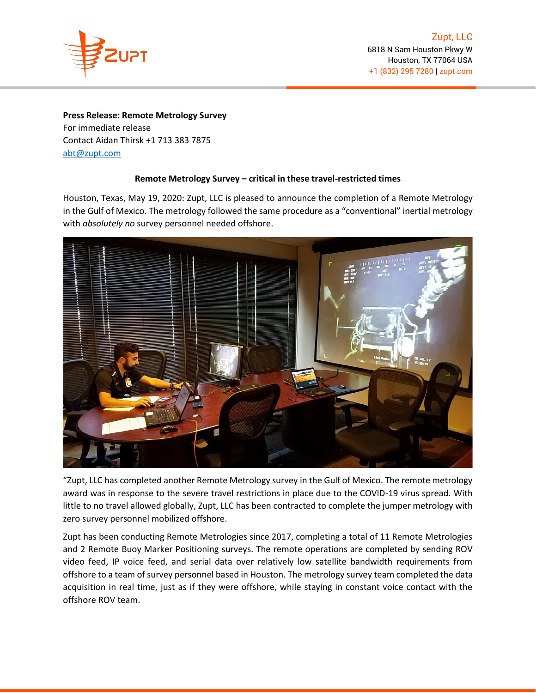

## **Press Release: Remote Metrology Survey**

For immediate release Contact Aidan Thirsk +1 713 383 7875 [abt@zupt.com](mailto:abt@zupt.com)

## **Remote Metrology Survey – critical in these travel-restricted times**

Houston, Texas, May 19, 2020: Zupt, LLC is pleased to announce the completion of a Remote Metrology in the Gulf of Mexico. The metrology followed the same procedure as a "conventional" inertial metrology with *absolutely no* survey personnel needed offshore.



"Zupt, LLC has completed another Remote Metrology survey in the Gulf of Mexico. The remote metrology award was in response to the severe travel restrictions in place due to the COVID-19 virus spread. With little to no travel allowed globally, Zupt, LLC has been contracted to complete the jumper metrology with zero survey personnel mobilized offshore.

Zupt has been conducting Remote Metrologies since 2017, completing a total of 11 Remote Metrologies and 2 Remote Buoy Marker Positioning surveys. The remote operations are completed by sending ROV video feed, IP voice feed, and serial data over relatively low satellite bandwidth requirements from offshore to a team of survey personnel based in Houston. The metrology survey team completed the data acquisition in real time, just as if they were offshore, while staying in constant voice contact with the offshore ROV team.